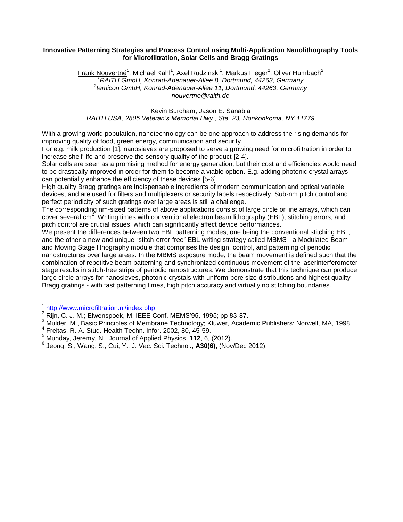## **Innovative Patterning Strategies and Process Control using Multi-Application Nanolithography Tools for Microfiltration, Solar Cells and Bragg Gratings**

 $\mathsf{Frank}\ \mathsf{Nowertné}^1,$  Michael Kahl $^1$ , Axel Rudzinski $^1$ , Markus Fleger $^2$ , Oliver Humbach $^2$ *<sup>1</sup>RAITH GmbH, Konrad-Adenauer-Allee 8, Dortmund, 44263, Germany 2 temicon GmbH, Konrad-Adenauer-Allee 11, Dortmund, 44263, Germany nouvertne@raith.de*

Kevin Burcham, Jason E. Sanabia *RAITH USA, 2805 Veteran's Memorial Hwy., Ste. 23, Ronkonkoma, NY 11779*

With a growing world population, nanotechnology can be one approach to address the rising demands for improving quality of food, green energy, communication and security.

For e.g. milk production [1], nanosieves are proposed to serve a growing need for microfiltration in order to increase shelf life and preserve the sensory quality of the product [2-4].

Solar cells are seen as a promising method for energy generation, but their cost and efficiencies would need to be drastically improved in order for them to become a viable option. E.g. adding photonic crystal arrays can potentially enhance the efficiency of these devices [5-6].

High quality Bragg gratings are indispensable ingredients of modern communication and optical variable devices, and are used for filters and multiplexers or security labels respectively. Sub-nm pitch control and perfect periodicity of such gratings over large areas is still a challenge.

The corresponding nm-sized patterns of above applications consist of large circle or line arrays, which can cover several cm<sup>2</sup>. Writing times with conventional electron beam lithography (EBL), stitching errors, and pitch control are crucial issues, which can significantly affect device performances.

We present the differences between two EBL patterning modes, one being the conventional stitching EBL, and the other a new and unique "stitch-error-free" EBL writing strategy called MBMS - a Modulated Beam and Moving Stage lithography module that comprises the design, control, and patterning of periodic nanostructures over large areas. In the MBMS exposure mode, the beam movement is defined such that the combination of repetitive beam patterning and synchronized continuous movement of the laserinterferometer stage results in stitch-free strips of periodic nanostructures. We demonstrate that this technique can produce large circle arrays for nanosieves, photonic crystals with uniform pore size distributions and highest quality Bragg gratings - with fast patterning times, high pitch accuracy and virtually no stitching boundaries.

1 <http://www.microfiltration.nl/index.php>

- <sup>2</sup> Rijn, C. J. M.; Elwenspoek, M. IEEE Conf. MEMS'95, 1995; pp 83-87.
- <sup>3</sup> Mulder, M., Basic Principles of Membrane Technology; Kluwer, Academic Publishers: Norwell, MA, 1998.
- 4 Freitas, R. A. Stud. Health Techn. Infor. 2002, 80, 45-59.

<sup>5</sup> Munday, Jeremy, N., Journal of Applied Physics, **112**, 6, (2012).

6 Jeong, S., Wang, S., Cui, Y., J. Vac. Sci. Technol., **A30(6),** (Nov/Dec 2012).